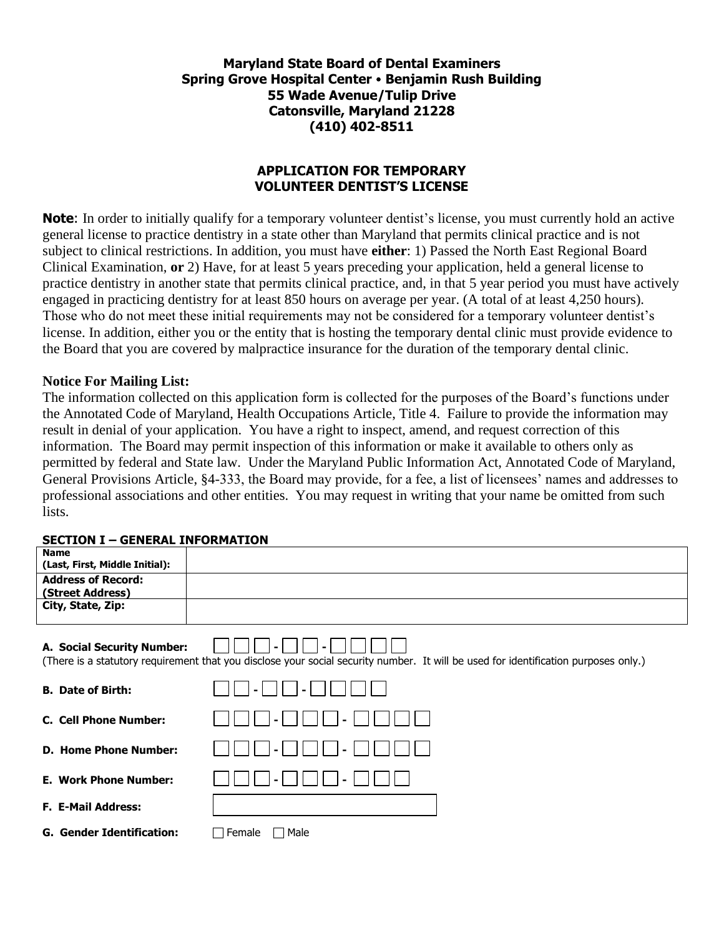**Maryland State Board of Dental Examiners Spring Grove Hospital Center Benjamin Rush Building 55 Wade Avenue/Tulip Drive Catonsville, Maryland 21228 (410) 402-8511**

## **APPLICATION FOR TEMPORARY VOLUNTEER DENTIST'S LICENSE**

**Note**: In order to initially qualify for a temporary volunteer dentist's license, you must currently hold an active general license to practice dentistry in a state other than Maryland that permits clinical practice and is not subject to clinical restrictions. In addition, you must have **either**: 1) Passed the North East Regional Board Clinical Examination, **or** 2) Have, for at least 5 years preceding your application, held a general license to practice dentistry in another state that permits clinical practice, and, in that 5 year period you must have actively engaged in practicing dentistry for at least 850 hours on average per year. (A total of at least 4,250 hours). Those who do not meet these initial requirements may not be considered for a temporary volunteer dentist's license. In addition, either you or the entity that is hosting the temporary dental clinic must provide evidence to the Board that you are covered by malpractice insurance for the duration of the temporary dental clinic.

## **Notice For Mailing List:**

The information collected on this application form is collected for the purposes of the Board's functions under the Annotated Code of Maryland, Health Occupations Article, Title 4. Failure to provide the information may result in denial of your application. You have a right to inspect, amend, and request correction of this information. The Board may permit inspection of this information or make it available to others only as permitted by federal and State law. Under the Maryland Public Information Act, Annotated Code of Maryland, General Provisions Article, §4-333, the Board may provide, for a fee, a list of licensees' names and addresses to professional associations and other entities. You may request in writing that your name be omitted from such lists.

|  |  | <b>SECTION I - GENERAL INFORMATION</b> |
|--|--|----------------------------------------|
|--|--|----------------------------------------|

| .                                |                                                                                                                                     |
|----------------------------------|-------------------------------------------------------------------------------------------------------------------------------------|
| <b>Name</b>                      |                                                                                                                                     |
| (Last, First, Middle Initial):   |                                                                                                                                     |
| <b>Address of Record:</b>        |                                                                                                                                     |
| (Street Address)                 |                                                                                                                                     |
| City, State, Zip:                |                                                                                                                                     |
|                                  |                                                                                                                                     |
| A. Social Security Number:       | (There is a statutory requirement that you disclose your social security number. It will be used for identification purposes only.) |
| <b>B.</b> Date of Birth:         |                                                                                                                                     |
| <b>C. Cell Phone Number:</b>     |                                                                                                                                     |
| <b>D. Home Phone Number:</b>     |                                                                                                                                     |
| <b>E. Work Phone Number:</b>     |                                                                                                                                     |
| <b>F. E-Mail Address:</b>        |                                                                                                                                     |
| <b>G. Gender Identification:</b> | Female<br>Male                                                                                                                      |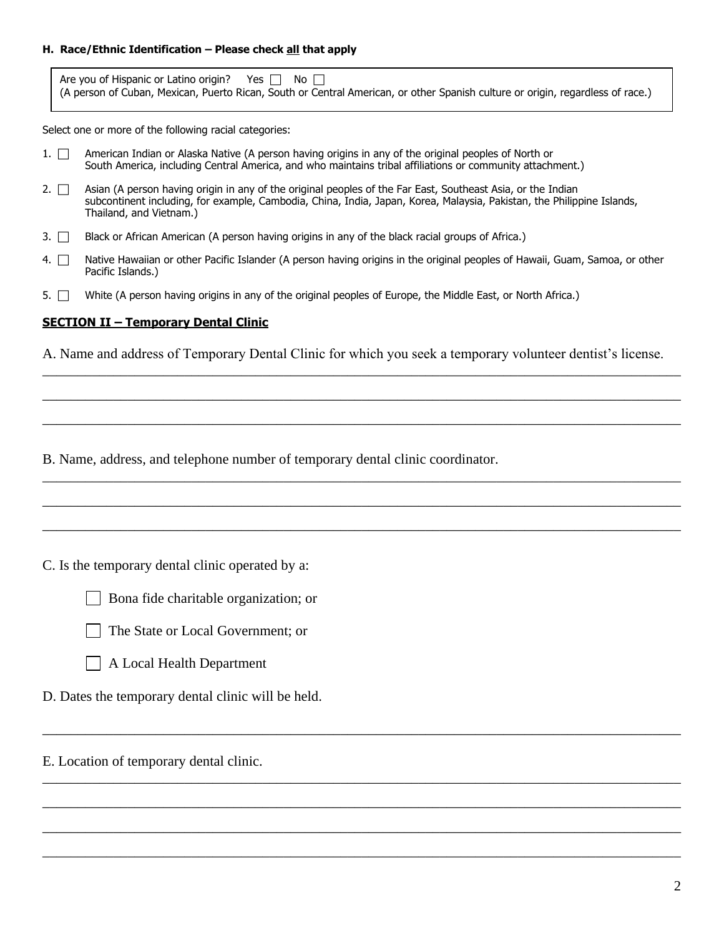#### **H. Race/Ethnic Identification – Please check all that apply**

| Are you of Hispanic or Latino origin? Yes $\Box$ No $\Box$                                                                     |  |  |  |
|--------------------------------------------------------------------------------------------------------------------------------|--|--|--|
| (A person of Cuban, Mexican, Puerto Rican, South or Central American, or other Spanish culture or origin, regardless of race.) |  |  |  |

Select one or more of the following racial categories:

- 1.  $\Box$  American Indian or Alaska Native (A person having origins in any of the original peoples of North or South America, including Central America, and who maintains tribal affiliations or community attachment.)
- 2.  $\Box$  Asian (A person having origin in any of the original peoples of the Far East, Southeast Asia, or the Indian subcontinent including, for example, Cambodia, China, India, Japan, Korea, Malaysia, Pakistan, the Philippine Islands, Thailand, and Vietnam.)
- 3.  $\Box$  Black or African American (A person having origins in any of the black racial groups of Africa.)
- 4. <sup>Native</sup> Hawaiian or other Pacific Islander (A person having origins in the original peoples of Hawaii, Guam, Samoa, or other Pacific Islands.)
- 5.  $\Box$  White (A person having origins in any of the original peoples of Europe, the Middle East, or North Africa.)

#### **SECTION II – Temporary Dental Clinic**

A. Name and address of Temporary Dental Clinic for which you seek a temporary volunteer dentist's license.

\_\_\_\_\_\_\_\_\_\_\_\_\_\_\_\_\_\_\_\_\_\_\_\_\_\_\_\_\_\_\_\_\_\_\_\_\_\_\_\_\_\_\_\_\_\_\_\_\_\_\_\_\_\_\_\_\_\_\_\_\_\_\_\_\_\_\_\_\_\_\_\_\_\_\_\_\_\_\_\_\_\_\_\_\_\_\_\_\_\_

\_\_\_\_\_\_\_\_\_\_\_\_\_\_\_\_\_\_\_\_\_\_\_\_\_\_\_\_\_\_\_\_\_\_\_\_\_\_\_\_\_\_\_\_\_\_\_\_\_\_\_\_\_\_\_\_\_\_\_\_\_\_\_\_\_\_\_\_\_\_\_\_\_\_\_\_\_\_\_\_\_\_\_\_\_\_\_\_\_\_

\_\_\_\_\_\_\_\_\_\_\_\_\_\_\_\_\_\_\_\_\_\_\_\_\_\_\_\_\_\_\_\_\_\_\_\_\_\_\_\_\_\_\_\_\_\_\_\_\_\_\_\_\_\_\_\_\_\_\_\_\_\_\_\_\_\_\_\_\_\_\_\_\_\_\_\_\_\_\_\_\_\_\_\_\_\_\_\_\_\_

\_\_\_\_\_\_\_\_\_\_\_\_\_\_\_\_\_\_\_\_\_\_\_\_\_\_\_\_\_\_\_\_\_\_\_\_\_\_\_\_\_\_\_\_\_\_\_\_\_\_\_\_\_\_\_\_\_\_\_\_\_\_\_\_\_\_\_\_\_\_\_\_\_\_\_\_\_\_\_\_\_\_\_\_\_\_\_\_\_\_

\_\_\_\_\_\_\_\_\_\_\_\_\_\_\_\_\_\_\_\_\_\_\_\_\_\_\_\_\_\_\_\_\_\_\_\_\_\_\_\_\_\_\_\_\_\_\_\_\_\_\_\_\_\_\_\_\_\_\_\_\_\_\_\_\_\_\_\_\_\_\_\_\_\_\_\_\_\_\_\_\_\_\_\_\_\_\_\_\_\_

\_\_\_\_\_\_\_\_\_\_\_\_\_\_\_\_\_\_\_\_\_\_\_\_\_\_\_\_\_\_\_\_\_\_\_\_\_\_\_\_\_\_\_\_\_\_\_\_\_\_\_\_\_\_\_\_\_\_\_\_\_\_\_\_\_\_\_\_\_\_\_\_\_\_\_\_\_\_\_\_\_\_\_\_\_\_\_\_\_\_

\_\_\_\_\_\_\_\_\_\_\_\_\_\_\_\_\_\_\_\_\_\_\_\_\_\_\_\_\_\_\_\_\_\_\_\_\_\_\_\_\_\_\_\_\_\_\_\_\_\_\_\_\_\_\_\_\_\_\_\_\_\_\_\_\_\_\_\_\_\_\_\_\_\_\_\_\_\_\_\_\_\_\_\_\_\_\_\_\_\_

\_\_\_\_\_\_\_\_\_\_\_\_\_\_\_\_\_\_\_\_\_\_\_\_\_\_\_\_\_\_\_\_\_\_\_\_\_\_\_\_\_\_\_\_\_\_\_\_\_\_\_\_\_\_\_\_\_\_\_\_\_\_\_\_\_\_\_\_\_\_\_\_\_\_\_\_\_\_\_\_\_\_\_\_\_\_\_\_\_\_

\_\_\_\_\_\_\_\_\_\_\_\_\_\_\_\_\_\_\_\_\_\_\_\_\_\_\_\_\_\_\_\_\_\_\_\_\_\_\_\_\_\_\_\_\_\_\_\_\_\_\_\_\_\_\_\_\_\_\_\_\_\_\_\_\_\_\_\_\_\_\_\_\_\_\_\_\_\_\_\_\_\_\_\_\_\_\_\_\_\_

\_\_\_\_\_\_\_\_\_\_\_\_\_\_\_\_\_\_\_\_\_\_\_\_\_\_\_\_\_\_\_\_\_\_\_\_\_\_\_\_\_\_\_\_\_\_\_\_\_\_\_\_\_\_\_\_\_\_\_\_\_\_\_\_\_\_\_\_\_\_\_\_\_\_\_\_\_\_\_\_\_\_\_\_\_\_\_\_\_\_

\_\_\_\_\_\_\_\_\_\_\_\_\_\_\_\_\_\_\_\_\_\_\_\_\_\_\_\_\_\_\_\_\_\_\_\_\_\_\_\_\_\_\_\_\_\_\_\_\_\_\_\_\_\_\_\_\_\_\_\_\_\_\_\_\_\_\_\_\_\_\_\_\_\_\_\_\_\_\_\_\_\_\_\_\_\_\_\_\_\_

B. Name, address, and telephone number of temporary dental clinic coordinator.

C. Is the temporary dental clinic operated by a:







D. Dates the temporary dental clinic will be held.

E. Location of temporary dental clinic.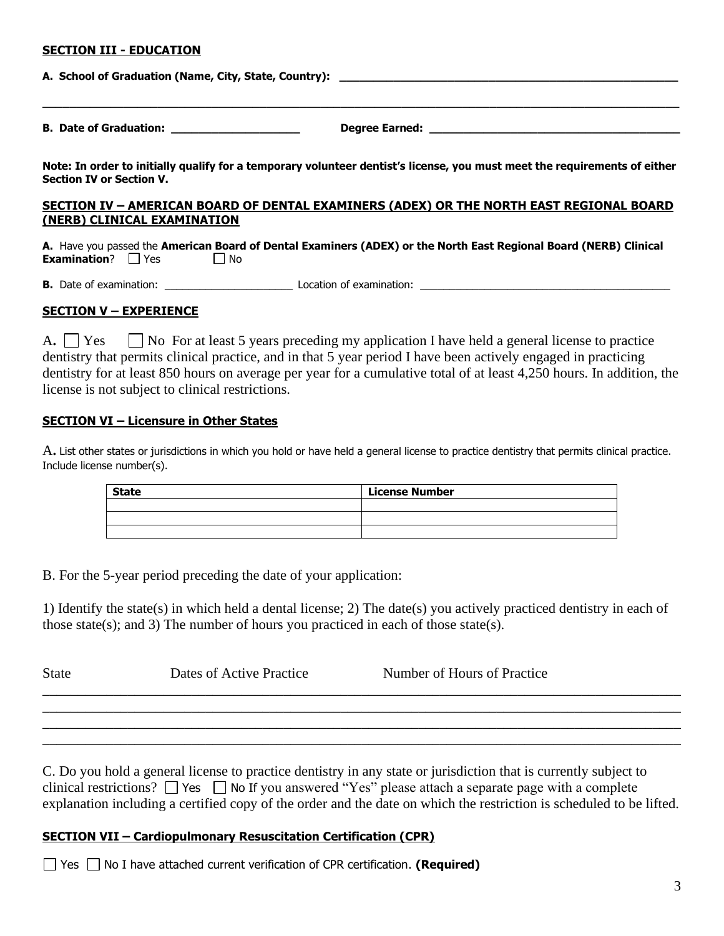#### **SECTION III - EDUCATION**

| A. School of Graduation (Name, City, State, Country): ___________________________ |                                                                                                                           |  |
|-----------------------------------------------------------------------------------|---------------------------------------------------------------------------------------------------------------------------|--|
|                                                                                   |                                                                                                                           |  |
| <b>Section IV or Section V.</b>                                                   | Note: In order to initially qualify for a temporary volunteer dentist's license, you must meet the requirements of either |  |
| (NERB) CLINICAL EXAMINATION                                                       | SECTION IV - AMERICAN BOARD OF DENTAL EXAMINERS (ADEX) OR THE NORTH EAST REGIONAL BOARD                                   |  |
| <b>Examination</b> ? $\Box$ Yes $\Box$ No                                         | A. Have you passed the American Board of Dental Examiners (ADEX) or the North East Regional Board (NERB) Clinical         |  |
|                                                                                   |                                                                                                                           |  |

## **SECTION V – EXPERIENCE**

A. Yes No For at least 5 years preceding my application I have held a general license to practice dentistry that permits clinical practice, and in that 5 year period I have been actively engaged in practicing dentistry for at least 850 hours on average per year for a cumulative total of at least 4,250 hours. In addition, the license is not subject to clinical restrictions.

#### **SECTION VI – Licensure in Other States**

A**.** List other states or jurisdictions in which you hold or have held a general license to practice dentistry that permits clinical practice. Include license number(s).

| <b>State</b> | <b>License Number</b> |
|--------------|-----------------------|
|              |                       |
|              |                       |
|              |                       |

B. For the 5-year period preceding the date of your application:

1) Identify the state(s) in which held a dental license; 2) The date(s) you actively practiced dentistry in each of those state(s); and 3) The number of hours you practiced in each of those state(s).

| <b>State</b> | Dates of Active Practice | Number of Hours of Practice |  |
|--------------|--------------------------|-----------------------------|--|
|              |                          |                             |  |

\_\_\_\_\_\_\_\_\_\_\_\_\_\_\_\_\_\_\_\_\_\_\_\_\_\_\_\_\_\_\_\_\_\_\_\_\_\_\_\_\_\_\_\_\_\_\_\_\_\_\_\_\_\_\_\_\_\_\_\_\_\_\_\_\_\_\_\_\_\_\_\_\_\_\_\_\_\_\_\_\_\_\_\_\_\_\_\_\_\_

C. Do you hold a general license to practice dentistry in any state or jurisdiction that is currently subject to clinical restrictions?  $\Box$  Yes  $\Box$  No If you answered "Yes" please attach a separate page with a complete explanation including a certified copy of the order and the date on which the restriction is scheduled to be lifted.

## **SECTION VII – Cardiopulmonary Resuscitation Certification (CPR)**

 $\Box$  Yes  $\Box$  No I have attached current verification of CPR certification. **(Required)**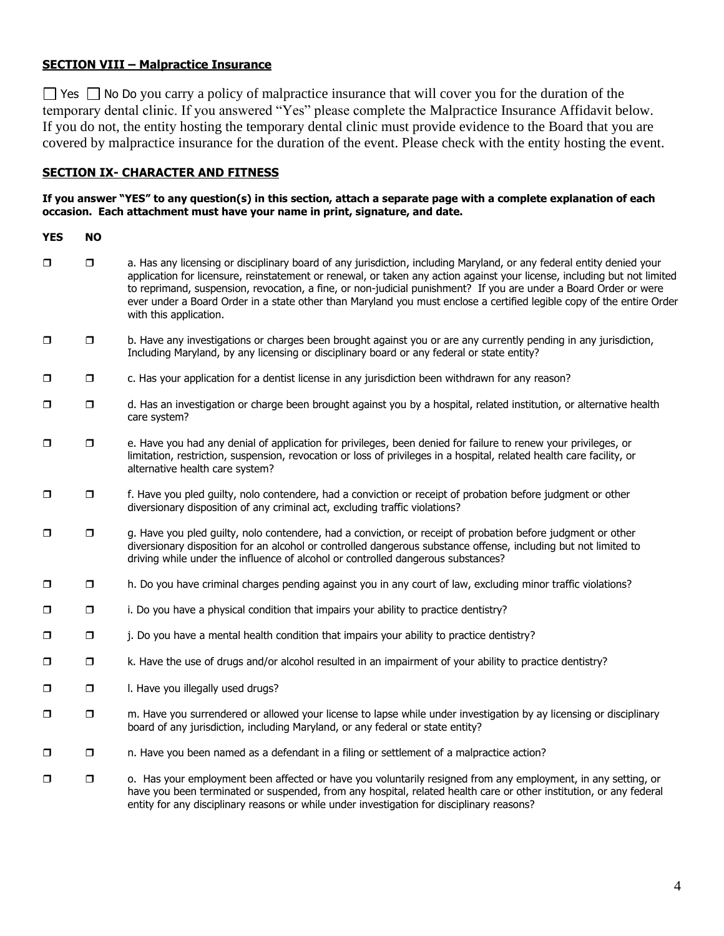## **SECTION VIII – Malpractice Insurance**

 $\Box$  Yes  $\Box$  No Do you carry a policy of malpractice insurance that will cover you for the duration of the temporary dental clinic. If you answered "Yes" please complete the Malpractice Insurance Affidavit below. If you do not, the entity hosting the temporary dental clinic must provide evidence to the Board that you are covered by malpractice insurance for the duration of the event. Please check with the entity hosting the event.

## **SECTION IX- CHARACTER AND FITNESS**

#### **If you answer "YES" to any question(s) in this section, attach a separate page with a complete explanation of each occasion. Each attachment must have your name in print, signature, and date.**

**YES NO**

- a. Has any licensing or disciplinary board of any jurisdiction, including Maryland, or any federal entity denied your application for licensure, reinstatement or renewal, or taken any action against your license, including but not limited to reprimand, suspension, revocation, a fine, or non-judicial punishment? If you are under a Board Order or were ever under a Board Order in a state other than Maryland you must enclose a certified legible copy of the entire Order with this application.
- $\Box$   $\Box$  b. Have any investigations or charges been brought against you or are any currently pending in any jurisdiction, Including Maryland, by any licensing or disciplinary board or any federal or state entity?
- $\Box$   $\Box$  c. Has your application for a dentist license in any jurisdiction been withdrawn for any reason?
- d. Has an investigation or charge been brought against you by a hospital, related institution, or alternative health care system?
- e. Have you had any denial of application for privileges, been denied for failure to renew your privileges, or limitation, restriction, suspension, revocation or loss of privileges in a hospital, related health care facility, or alternative health care system?
- f. Have you pled guilty, nolo contendere, had a conviction or receipt of probation before judgment or other diversionary disposition of any criminal act, excluding traffic violations?
- **D** g. Have you pled guilty, nolo contendere, had a conviction, or receipt of probation before judgment or other diversionary disposition for an alcohol or controlled dangerous substance offense, including but not limited to driving while under the influence of alcohol or controlled dangerous substances?
- h. Do you have criminal charges pending against you in any court of law, excluding minor traffic violations?
- **D** i. Do you have a physical condition that impairs your ability to practice dentistry?
- $\Box$  j. Do you have a mental health condition that impairs your ability to practice dentistry?
- $\Box$  R. Have the use of drugs and/or alcohol resulted in an impairment of your ability to practice dentistry?
- $\Box$   $\Box$  I. Have you illegally used drugs?
- $\square$  m. Have you surrendered or allowed your license to lapse while under investigation by ay licensing or disciplinary board of any jurisdiction, including Maryland, or any federal or state entity?
- □ □ n. Have you been named as a defendant in a filing or settlement of a malpractice action?
- $\square$   $\square$  o. Has your employment been affected or have you voluntarily resigned from any employment, in any setting, or have you been terminated or suspended, from any hospital, related health care or other institution, or any federal entity for any disciplinary reasons or while under investigation for disciplinary reasons?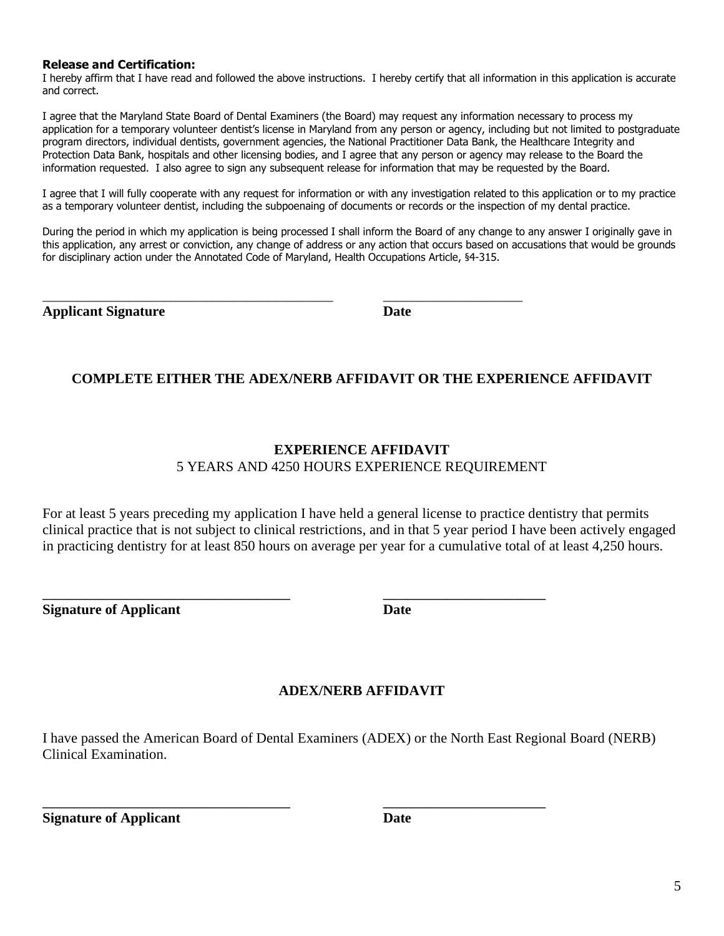#### **Release and Certification:**

I hereby affirm that I have read and followed the above instructions. I hereby certify that all information in this application is accurate and correct.

I agree that the Maryland State Board of Dental Examiners (the Board) may request any information necessary to process my application for a temporary volunteer dentist's license in Maryland from any person or agency, including but not limited to postgraduate program directors, individual dentists, government agencies, the National Practitioner Data Bank, the Healthcare Integrity and Protection Data Bank, hospitals and other licensing bodies, and I agree that any person or agency may release to the Board the information requested. I also agree to sign any subsequent release for information that may be requested by the Board.

I agree that I will fully cooperate with any request for information or with any investigation related to this application or to my practice as a temporary volunteer dentist, including the subpoenaing of documents or records or the inspection of my dental practice.

During the period in which my application is being processed I shall inform the Board of any change to any answer I originally gave in this application, any arrest or conviction, any change of address or any action that occurs based on accusations that would be grounds for disciplinary action under the Annotated Code of Maryland, Health Occupations Article, §4-315.

\_\_\_\_\_\_\_\_\_\_\_\_\_\_\_\_\_\_\_\_\_\_\_\_\_\_\_\_\_\_\_\_\_\_\_\_\_\_\_\_\_\_\_\_\_\_\_\_\_\_ \_\_\_\_\_\_\_\_\_\_\_\_\_\_\_\_\_\_\_\_\_\_\_\_

**Applicant Signature Date**

## **COMPLETE EITHER THE ADEX/NERB AFFIDAVIT OR THE EXPERIENCE AFFIDAVIT**

## **EXPERIENCE AFFIDAVIT** 5 YEARS AND 4250 HOURS EXPERIENCE REQUIREMENT

For at least 5 years preceding my application I have held a general license to practice dentistry that permits clinical practice that is not subject to clinical restrictions, and in that 5 year period I have been actively engaged in practicing dentistry for at least 850 hours on average per year for a cumulative total of at least 4,250 hours.

**Signature of Applicant Date** 

 $\frac{1}{2}$  ,  $\frac{1}{2}$  ,  $\frac{1}{2}$  ,  $\frac{1}{2}$  ,  $\frac{1}{2}$  ,  $\frac{1}{2}$  ,  $\frac{1}{2}$  ,  $\frac{1}{2}$  ,  $\frac{1}{2}$  ,  $\frac{1}{2}$  ,  $\frac{1}{2}$  ,  $\frac{1}{2}$  ,  $\frac{1}{2}$  ,  $\frac{1}{2}$  ,  $\frac{1}{2}$  ,  $\frac{1}{2}$  ,  $\frac{1}{2}$  ,  $\frac{1}{2}$  ,  $\frac{1$ 

## **ADEX/NERB AFFIDAVIT**

I have passed the American Board of Dental Examiners (ADEX) or the North East Regional Board (NERB) Clinical Examination.

 $\frac{1}{2}$  ,  $\frac{1}{2}$  ,  $\frac{1}{2}$  ,  $\frac{1}{2}$  ,  $\frac{1}{2}$  ,  $\frac{1}{2}$  ,  $\frac{1}{2}$  ,  $\frac{1}{2}$  ,  $\frac{1}{2}$  ,  $\frac{1}{2}$  ,  $\frac{1}{2}$  ,  $\frac{1}{2}$  ,  $\frac{1}{2}$  ,  $\frac{1}{2}$  ,  $\frac{1}{2}$  ,  $\frac{1}{2}$  ,  $\frac{1}{2}$  ,  $\frac{1}{2}$  ,  $\frac{1$ 

**Signature of Applicant Date**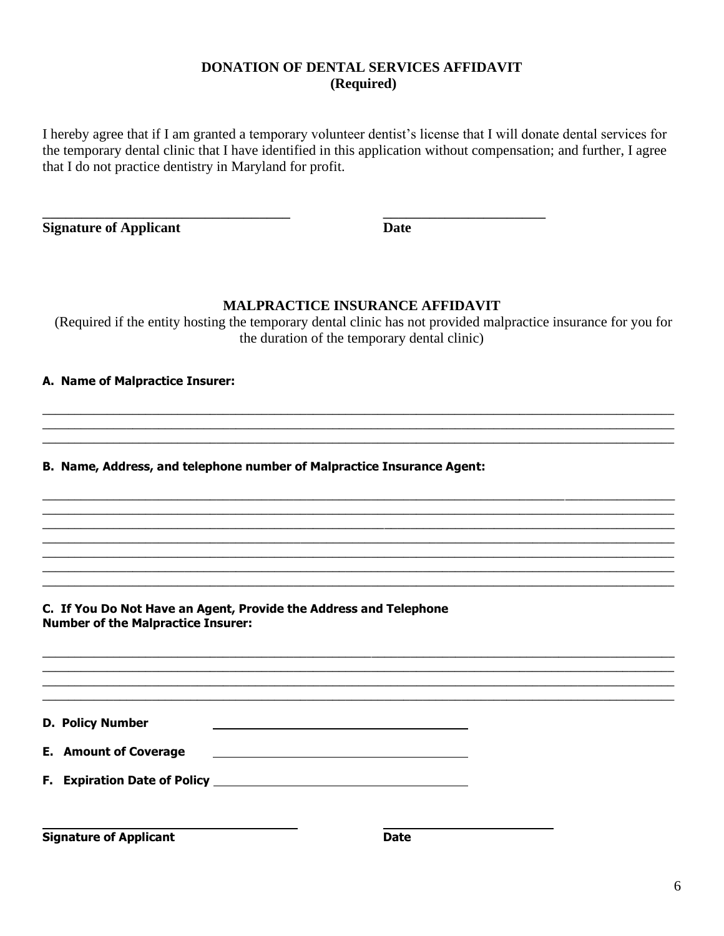## **DONATION OF DENTAL SERVICES AFFIDAVIT (Required)**

I hereby agree that if I am granted a temporary volunteer dentist's license that I will donate dental services for the temporary dental clinic that I have identified in this application without compensation; and further, I agree that I do not practice dentistry in Maryland for profit.

 $\overline{\phantom{a}}$  , and the contribution of the contribution of  $\overline{\phantom{a}}$  , and  $\overline{\phantom{a}}$  , and  $\overline{\phantom{a}}$  , and  $\overline{\phantom{a}}$  , and  $\overline{\phantom{a}}$  , and  $\overline{\phantom{a}}$  , and  $\overline{\phantom{a}}$  , and  $\overline{\phantom{a}}$  , and  $\overline{\phantom{a}}$  , and

**Signature of Applicant Date** 

## **MALPRACTICE INSURANCE AFFIDAVIT**

(Required if the entity hosting the temporary dental clinic has not provided malpractice insurance for you for the duration of the temporary dental clinic)

 $\_$  , and the set of the set of the set of the set of the set of the set of the set of the set of the set of the set of the set of the set of the set of the set of the set of the set of the set of the set of the set of th  $\_$  , and the set of the set of the set of the set of the set of the set of the set of the set of the set of the set of the set of the set of the set of the set of the set of the set of the set of the set of the set of th  $\_$  , and the set of the set of the set of the set of the set of the set of the set of the set of the set of the set of the set of the set of the set of the set of the set of the set of the set of the set of the set of th

 $\_$  ,  $\_$  ,  $\_$  ,  $\_$  ,  $\_$  ,  $\_$  ,  $\_$  ,  $\_$  ,  $\_$  ,  $\_$  ,  $\_$  ,  $\_$  ,  $\_$  ,  $\_$  ,  $\_$  ,  $\_$  ,  $\_$  ,  $\_$  ,  $\_$  ,  $\_$  ,  $\_$  ,  $\_$  ,  $\_$  ,  $\_$  ,  $\_$  ,  $\_$  ,  $\_$  ,  $\_$  ,  $\_$  ,  $\_$  ,  $\_$  ,  $\_$  ,  $\_$  ,  $\_$  ,  $\_$  ,  $\_$  ,  $\_$  ,  $\_$  , and the set of the set of the set of the set of the set of the set of the set of the set of the set of the set of the set of the set of the set of the set of the set of the set of the set of the set of the set of th  $\_$  , and the state of the state of the state of the state of the state of the state of the state of the state of the state of the state of the state of the state of the state of the state of the state of the state of the  $\_$  ,  $\_$  ,  $\_$  ,  $\_$  ,  $\_$  ,  $\_$  ,  $\_$  ,  $\_$  ,  $\_$  ,  $\_$  ,  $\_$  ,  $\_$  ,  $\_$  ,  $\_$  ,  $\_$  ,  $\_$  ,  $\_$  ,  $\_$  ,  $\_$  ,  $\_$  ,  $\_$  ,  $\_$  ,  $\_$  ,  $\_$  ,  $\_$  ,  $\_$  ,  $\_$  ,  $\_$  ,  $\_$  ,  $\_$  ,  $\_$  ,  $\_$  ,  $\_$  ,  $\_$  ,  $\_$  ,  $\_$  ,  $\_$  ,  $\_$  , and the set of the set of the set of the set of the set of the set of the set of the set of the set of the set of the set of the set of the set of the set of the set of the set of the set of the set of the set of th  $\_$  , and the set of the set of the set of the set of the set of the set of the set of the set of the set of the set of the set of the set of the set of the set of the set of the set of the set of the set of the set of th  $\_$  , and the set of the set of the set of the set of the set of the set of the set of the set of the set of the set of the set of the set of the set of the set of the set of the set of the set of the set of the set of th

 $\_$  ,  $\_$  ,  $\_$  ,  $\_$  ,  $\_$  ,  $\_$  ,  $\_$  ,  $\_$  ,  $\_$  ,  $\_$  ,  $\_$  ,  $\_$  ,  $\_$  ,  $\_$  ,  $\_$  ,  $\_$  ,  $\_$  ,  $\_$  ,  $\_$  ,  $\_$  ,  $\_$  ,  $\_$  ,  $\_$  ,  $\_$  ,  $\_$  ,  $\_$  ,  $\_$  ,  $\_$  ,  $\_$  ,  $\_$  ,  $\_$  ,  $\_$  ,  $\_$  ,  $\_$  ,  $\_$  ,  $\_$  ,  $\_$  ,  $\_$  , and the set of the set of the set of the set of the set of the set of the set of the set of the set of the set of the set of the set of the set of the set of the set of the set of the set of the set of the set of th  $\_$  ,  $\_$  ,  $\_$  ,  $\_$  ,  $\_$  ,  $\_$  ,  $\_$  ,  $\_$  ,  $\_$  ,  $\_$  ,  $\_$  ,  $\_$  ,  $\_$  ,  $\_$  ,  $\_$  ,  $\_$  ,  $\_$  ,  $\_$  ,  $\_$  ,  $\_$  ,  $\_$  ,  $\_$  ,  $\_$  ,  $\_$  ,  $\_$  ,  $\_$  ,  $\_$  ,  $\_$  ,  $\_$  ,  $\_$  ,  $\_$  ,  $\_$  ,  $\_$  ,  $\_$  ,  $\_$  ,  $\_$  ,  $\_$  ,  $\_$  , and the set of the set of the set of the set of the set of the set of the set of the set of the set of the set of the set of the set of the set of the set of the set of the set of the set of the set of the set of th

**A. Name of Malpractice Insurer:** 

**B. Name, Address, and telephone number of Malpractice Insurance Agent:** 

**C. If You Do Not Have an Agent, Provide the Address and Telephone Number of the Malpractice Insurer:** 

**D. Policy Number**

| <b>E.</b> Amount of Coverage |  |  |
|------------------------------|--|--|
|------------------------------|--|--|

**F. Expiration Date of Policy** 

**Signature of Applicant Date**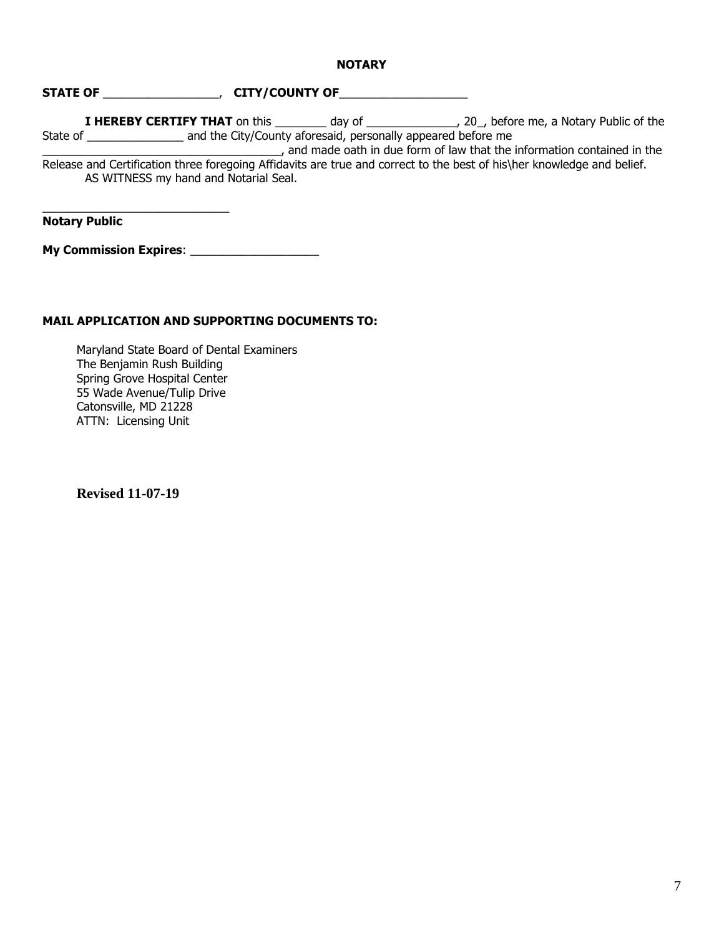#### **NOTARY**

## **STATE OF** \_\_\_\_\_\_\_\_\_\_\_\_\_\_\_\_\_\_, **CITY/COUNTY OF**\_\_\_\_\_\_\_\_\_\_\_\_\_\_\_\_\_\_\_\_

**I HEREBY CERTIFY THAT** on this \_\_\_\_\_\_\_\_ day of \_\_\_\_\_\_\_\_\_\_\_\_\_\_, 20\_, before me, a Notary Public of the State of \_\_\_\_\_\_\_\_\_\_\_\_\_\_\_\_\_\_\_\_\_ and the City/County aforesaid, personally appeared before me

\_\_\_\_\_\_\_\_\_\_\_\_\_\_\_\_\_\_\_\_\_\_\_\_\_\_\_\_\_\_\_\_\_\_\_\_\_, and made oath in due form of law that the information contained in the Release and Certification three foregoing Affidavits are true and correct to the best of his\her knowledge and belief. AS WITNESS my hand and Notarial Seal.

**Notary Public**

**My Commission Expires**: \_\_\_\_\_\_\_\_\_\_\_\_\_\_\_\_\_\_\_\_

\_\_\_\_\_\_\_\_\_\_\_\_\_\_\_\_\_\_\_\_\_\_\_\_\_\_\_\_\_

## **MAIL APPLICATION AND SUPPORTING DOCUMENTS TO:**

Maryland State Board of Dental Examiners The Benjamin Rush Building Spring Grove Hospital Center 55 Wade Avenue/Tulip Drive Catonsville, MD 21228 ATTN: Licensing Unit

**Revised 11-07-19**